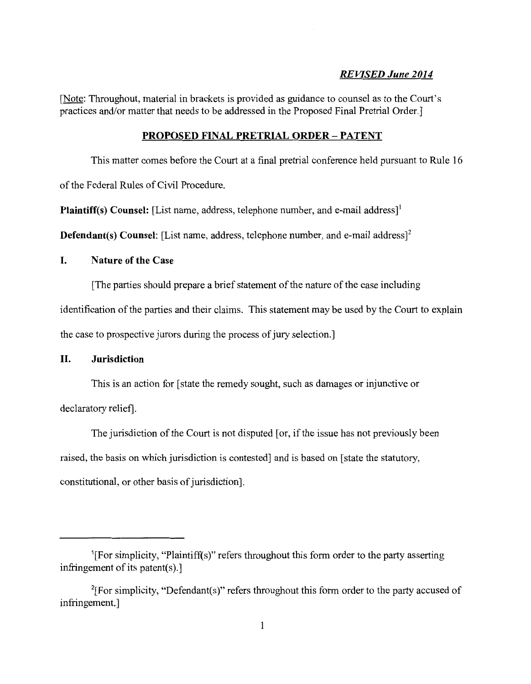## *REVISED June 2014*

[Note: Throughout, material in brackets is provided as guidance to counsel as to the Court's practices and/or matter that needs to be addressed in the Proposed Final Pretrial Order.]

## PROPOSED FINAL PRETRIAL ORDER- PATENT

This matter comes before the Court at a final pretrial conference held pursuant to Rule 16

of the Federal Rules of Civil Procedure.

Plaintiff(s) Counsel: [List name, address, telephone number, and e-mail address]'

**Defendant(s) Counsel:** [List name, address, telephone number, and e-mail address]<sup>2</sup>

## I. Nature of the Case

[The parties should prepare a brief statement of the nature of the case including

identification of the parties and their claims. This statement may be used by the Court to explain

the case to prospective jurors during the process of jury selection.]

## II. Jurisdiction

This is an action for [state the remedy sought, such as damages or injunctive or declaratory relief].

The jurisdiction of the Court is not disputed [or, if the issue has not previously been raised, the basis on which jurisdiction is contested] and is based on [state the statutory, constitutional, or other basis of jurisdiction].

<sup>&</sup>lt;sup>1</sup>[For simplicity, "Plaintiff(s)" refers throughout this form order to the party asserting infringement of its patent $(s)$ .

<sup>&</sup>lt;sup>2</sup>[For simplicity, "Defendant(s)" refers throughout this form order to the party accused of infringement.]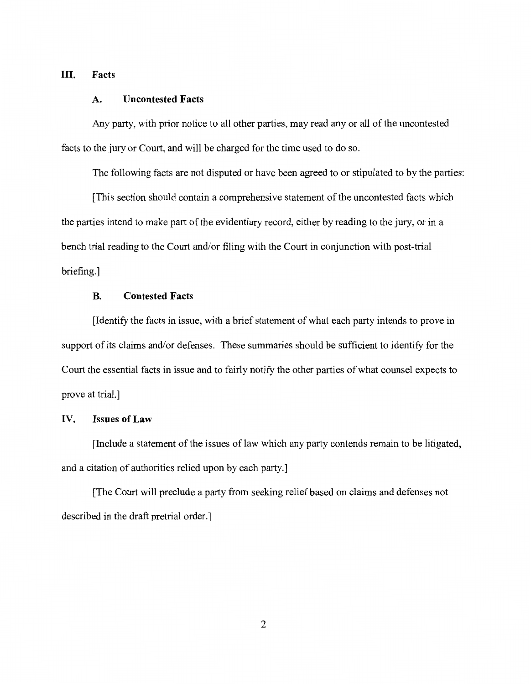## **III. Facts**

#### **A. Uncontested Facts**

Any party, with prior notice to all other parties, may read any or all of the uncontested facts to the jury or Court, and will be charged for the time used to do so.

The following facts are not disputed or have been agreed to or stipulated to by the parties:

[This section should contain a comprehensive statement of the uncontested facts which the parties intend to make part of the evidentiary record, either by reading to the jury, or in a bench trial reading to the Court and/or filing with the Court in conjunction with post-trial briefing.]

# **B. Contested Facts**

[Identify the facts in issue, with a brief statement of what each party intends to prove in support of its claims and/or defenses. These summaries should be sufficient to identify for the Court the essential facts in issue and to fairly notify the other parties of what counsel expects to prove at trial.]

## **IV. Issues of Law**

[Include a statement of the issues of law which any party contends remain to be litigated, and a citation of authorities relied upon by each party.]

[The Court will preclude a party from seeking relief based on claims and defenses not described in the draft pretrial order.]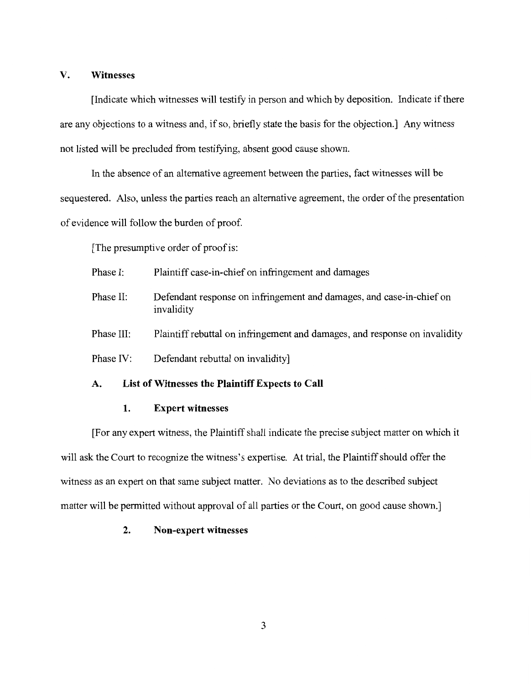### **V. Witnesses**

[Indicate which witnesses will testify in person and which by deposition. Indicate if there are any objections to a witness and, if so, briefly state the basis for the objection.] Any witness not listed will be precluded from testifying, absent good cause shown.

In the absence of an alternative agreement between the parties, fact witnesses will be sequestered. Also, unless the parties reach an alternative agreement, the order of the presentation of evidence will follow the burden of proof.

[The presumptive order of proof is:

- Phase I: Plaintiff case-in-chief on infringement and damages
- Phase II: Defendant response on infringement and damages, and case-in-chief on invalidity
- Phase III: Plaintiff rebuttal on infringement and damages, and response on invalidity
- Phase IV: Defendant rebuttal on invalidity]

## **A. List of Witnesses the Plaintiff Expects to Call**

## **1. Expert witnesses**

[For any expert witness, the Plaintiff shall indicate the precise subject matter on which it will ask the Court to recognize the witness's expertise. At trial, the Plaintiff should offer the witness as an expert on that same subject matter. No deviations as to the described subject matter will be permitted without approval of all parties or the Court, on good cause shown.]

## **2. Non-expert witnesses**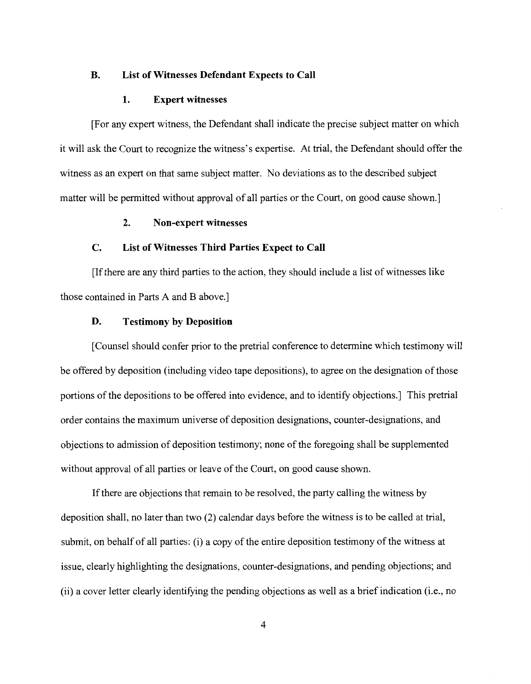#### **B. List of Witnesses Defendant Expects to Call**

#### **1. Expert witnesses**

[For any expert witness, the Defendant shall indicate the precise subject matter on which it will ask the Court to recognize the witness's expertise. At trial, the Defendant should offer the witness as an expert on that same subject matter. No deviations as to the described subject matter will be permitted without approval of all parties or the Court, on good cause shown.]

### **2. Non-expert witnesses**

### **C. List of Witnesses Third Parties Expect to Call**

[If there are any third parties to the action, they should include a list of witnesses like those contained in Parts A and B above.]

### **D. Testimony by Deposition**

[Counsel should confer prior to the pretrial conference to determine which testimony will be offered by deposition (including video tape depositions), to agree on the designation of those portions of the depositions to be offered into evidence, and to identify objections.] This pretrial order contains the maximum universe of deposition designations, counter-designations, and objections to admission of deposition testimony; none ofthe foregoing shall be supplemented without approval of all parties or leave of the Court, on good cause shown.

If there are objections that remain to be resolved, the party calling the witness by deposition shall, no later than two (2) calendar days before the witness is to be called at trial, submit, on behalf of all parties: (i) a copy of the entire deposition testimony of the witness at issue, clearly highlighting the designations, counter-designations, and pending objections; and (ii) a cover letter clearly identifying the pending objections as well as a brief indication (i.e., no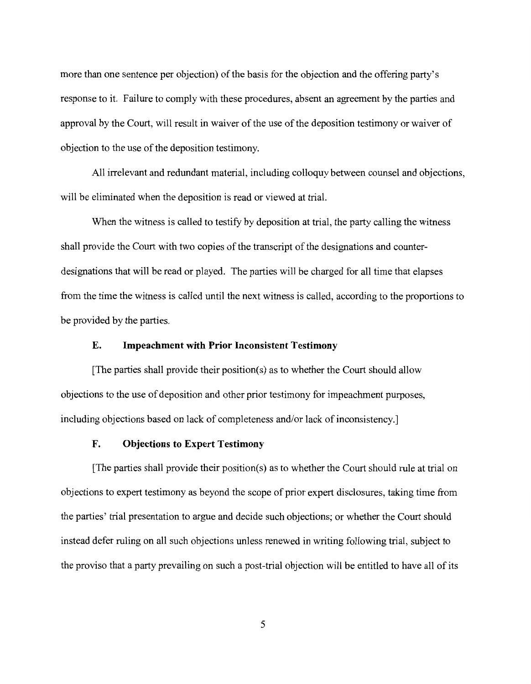more than one sentence per objection) of the basis for the objection and the offering party's response to it. Failure to comply with these procedures, absent an agreement by the parties and approval by the Court, will result in waiver of the use of the deposition testimony or waiver of objection to the use of the deposition testimony.

All irrelevant and redundant material, including colloquy between counsel and objections, will be eliminated when the deposition is read or viewed at trial.

When the witness is called to testify by deposition at trial, the party calling the witness shall provide the Court with two copies of the transcript of the designations and counterdesignations that will be read or played. The parties will be charged for all time that elapses from the time the witness is called until the next witness is called, according to the proportions to be provided by the parties.

### **E. Impeachment with Prior Inconsistent Testimony**

[The parties shall provide their position(s) as to whether the Court should allow objections to the use of deposition and other prior testimony for impeachment purposes, including objections based on lack of completeness and/or lack of inconsistency.]

## **F. Objections to Expert Testimony**

[The parties shall provide their position(s) as to whether the Court should rule at trial on objections to expert testimony as beyond the scope of prior expert disclosures, taking time from the parties' trial presentation to argue and decide such objections; or whether the Court should instead defer ruling on all such objections unless renewed in writing following trial, subject to the proviso that a party prevailing on such a post-trial objection will be entitled to have all of its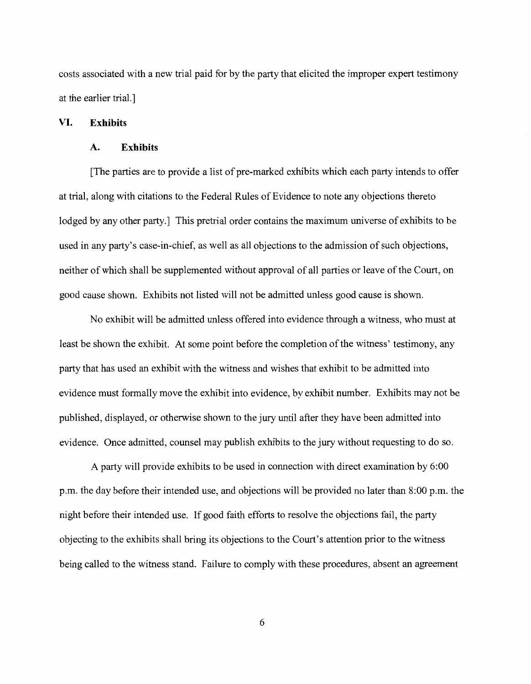costs associated with a new trial paid for by the party that elicited the improper expert testimony at the earlier trial.]

### **VI. Exhibits**

### A. **Exhibits**

[The parties are to provide a list of pre-marked exhibits which each party intends to offer at trial, along with citations to the Federal Rules of Evidence to note any objections thereto lodged by any other party.] This pretrial order contains the maximum universe of exhibits to be used in any party's case-in-chief, as well as all objections to the admission of such objections, neither of which shall be supplemented without approval of all parties or leave of the Court, on good cause shown. Exhibits not listed will not be admitted unless good cause is shown.

No exhibit will be admitted unless offered into evidence through a witness, who must at least be shown the exhibit. At some point before the completion of the witness' testimony, any party that has used an exhibit with the witness and wishes that exhibit to be admitted into evidence must formally move the exhibit into evidence, by exhibit number. Exhibits may not be published, displayed, or otherwise shown to the jury until after they have been admitted into evidence. Once admitted, counsel may publish exhibits to the jury without requesting to do so.

A party will provide exhibits to be used in connection with direct examination by 6:00 p.m. the day before their intended use, and objections will be provided no later than 8:00 p.m. the night before their intended use. If good faith efforts to resolve the objections fail, the party objecting to the exhibits shall bring its objections to the Court's attention prior to the witness being called to the witness stand. Failure to comply with these procedures, absent an agreement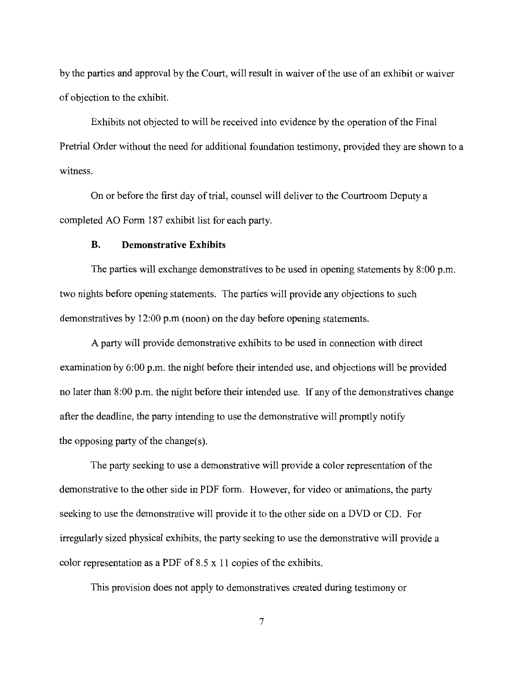by the parties and approval by the Court, will result in waiver of the use of an exhibit or waiver of objection to the exhibit.

Exhibits not objected to will be received into evidence by the operation ofthe Final Pretrial Order without the need for additional foundation testimony, provided they are shown to a witness.

On or before the first day of trial, counsel will deliver to the Courtroom Deputy a completed AO Form 187 exhibit list for each party.

## **B. Demonstrative Exhibits**

The parties will exchange demonstratives to be used in opening statements by 8:00 p.m. two nights before opening statements. The parties will provide any objections to such demonstratives by 12:00 p.m (noon) on the day before opening statements.

A party will provide demonstrative exhibits to be used in connection with direct examination by  $6:00$  p.m. the night before their intended use, and objections will be provided no later than 8:00 p.m. the night before their intended use. If any of the demonstratives change after the deadline, the party intending to use the demonstrative will promptly notify the opposing party of the change(s).

The party seeking to use a demonstrative will provide a color representation of the demonstrative to the other side in PDF form. However, for video or animations, the party seeking to use the demonstrative will provide it to the other side on a DVD or CD. For irregularly sized physical exhibits, the party seeking to use the demonstrative will provide a color representation as a PDF of 8.5 x 11 copies of the exhibits.

This provision does not apply to demonstratives created during testimony or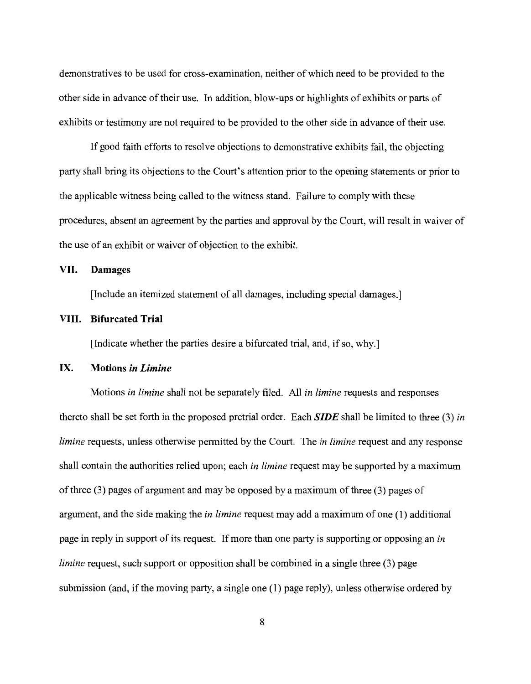demonstratives to be used for cross-examination, neither of which need to be provided to the other side in advance of their use. In addition, blow-ups or highlights of exhibits or parts of exhibits or testimony are not required to be provided to the other side in advance of their use.

If good faith efforts to resolve objections to demonstrative exhibits fail, the objecting party shall bring its objections to the Court's attention prior to the opening statements or prior to the applicable witness being called to the witness stand. Failure to comply with these procedures, absent an agreement by the parties and approval by the Court, will result in waiver of the use of an exhibit or waiver of objection to the exhibit.

## **VII. Damages**

[Include an itemized statement of all damages, including special damages.]

## **VIII. Bifurcated Trial**

[Indicate whether the parties desire a bifurcated trial, and, if so, why.]

## **IX. Motions** *in Limine*

Motions *in limine* shall not be separately filed. All *in limine* requests and responses thereto shall be set forth in the proposed pretrial order. Each *SIDE* shall be limited to three (3) *in limine* requests, unless otherwise permitted by the Court. The *in limine* request and any response shall contain the authorities relied upon; each *in limine* request may be supported by a maximum of three (3) pages of argument and may be opposed by a maximum of three (3) pages of argument, and the side making the *in limine* request may add a maximum of one (1) additional page in reply in support of its request. If more than one party is supporting or opposing an *in limine* request, such support or opposition shall be combined in a single three (3) page submission (and, if the moving party, a single one (1) page reply), unless otherwise ordered by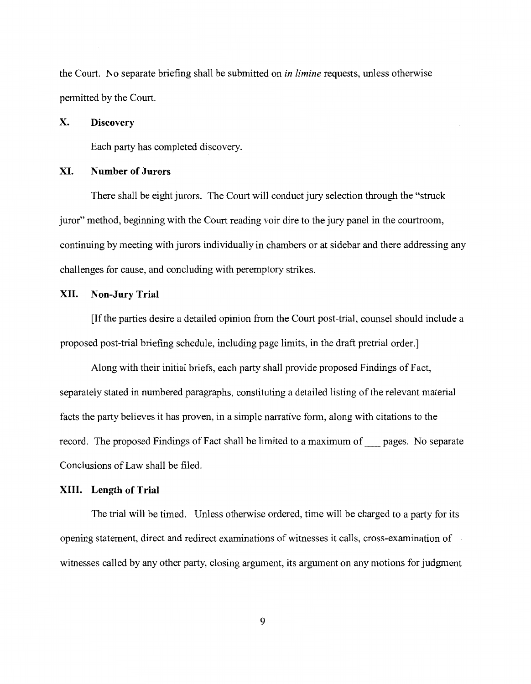the Court. No separate briefing shall be submitted on *in limine* requests, unless otherwise permitted by the Court.

### **X. Discovery**

Each party has completed discovery.

## **XI. Number of Jurors**

There shall be eight jurors. The Court will conduct jury selection through the "struck juror" method, beginning with the Court reading voir dire to the jury panel in the courtroom, continuing by meeting with jurors individually in chambers or at sidebar and there addressing any challenges for cause, and concluding with peremptory strikes.

### **XII. Non-Jury Trial**

[If the parties desire a detailed opinion from the Court post-trial, counsel should include a proposed post-trial briefing schedule, including page limits, in the draft pretrial order.]

Along with their initial briefs, each party shall provide proposed Findings of Fact, separately stated in numbered paragraphs, constituting a detailed listing of the relevant material facts the party believes it has proven, in a simple narrative form, along with citations to the record. The proposed Findings of Fact shall be limited to a maximum of\_ pages. No separate Conclusions of Law shall be filed.

## **XIII. Length of Trial**

The trial will be timed. Unless otherwise ordered, time will be charged to a party for its opening statement, direct and redirect examinations of witnesses it calls, cross-examination of witnesses called by any other party, closing argument, its argument on any motions for judgment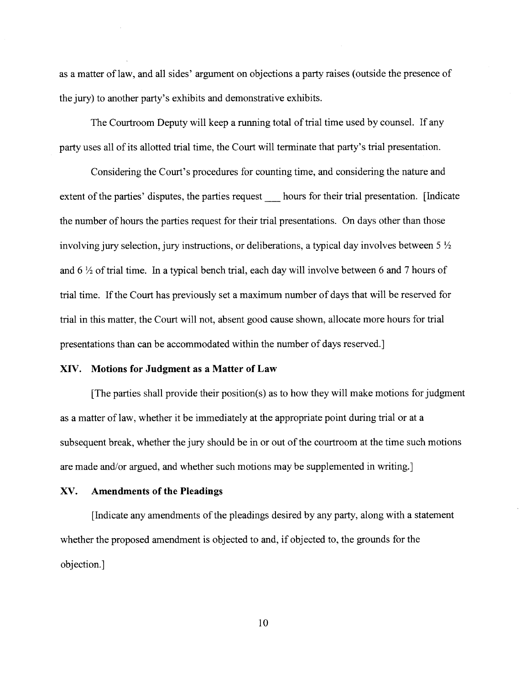as a matter of law, and all sides' argument on objections a party raises (outside the presence of the jury) to another party's exhibits and demonstrative exhibits.

The Courtroom Deputy will keep a running total of trial time used by counsel. If any party uses all of its allotted trial time, the Court will terminate that party's trial presentation.

Considering the Court's procedures for counting time, and considering the nature and extent of the parties' disputes, the parties request hours for their trial presentation. [Indicate the number of hours the parties request for their trial presentations. On days other than those involving jury selection, jury instructions, or deliberations, a typical day involves between  $5\frac{1}{2}$ and 6 <sup>1</sup>/<sub>2</sub> of trial time. In a typical bench trial, each day will involve between 6 and 7 hours of trial time. If the Court has previously set a maximum number of days that will be reserved for trial in this matter, the Court will not, absent good cause shown, allocate more hours for trial presentations than can be accommodated within the number of days reserved.]

### **XIV. Motions for Judgment as a Matter of Law**

[The parties shall provide their position(s) as to how they will make motions for judgment as a matter of law, whether it be immediately at the appropriate point during trial or at a subsequent break, whether the jury should be in or out of the courtroom at the time such motions are made and/or argued, and whether such motions may be supplemented in writing.]

### XV. **Amendments of the Pleadings**

[Indicate any amendments of the pleadings desired by any party, along with a statement whether the proposed amendment is objected to and, if objected to, the grounds for the objection.]